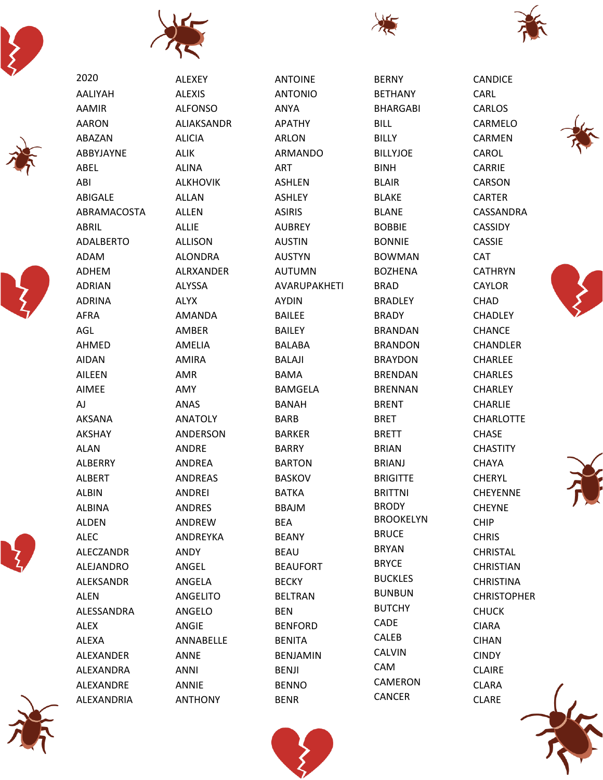









ALEXANDRIA

2020 **AALIYAH AAMIR AARON** ABAZAN ABBYJAYNE ABEL ABI **ABIGALE** ABRAMACOSTA **ABRIL ADALBERTO ADAM ADHEM ADRIAN ADRINA AFRA AGL AHMED AIDAN AILEEN AIMEE AJ AKSANA** AKSHAY **ALAN ALBERRY ALBERT ALBIN ALBINA ALDEN ALEC ALECZANDR ALEJANDRO ALEKSANDR ALEN** ALESSANDRA **ALEX ALEXA ALEXANDER** ALEXANDRA ALEXANDRE



**ANTOINE ANTONIO** ANYA **APATHY ARLON ARMANDO** ART **ASHLEN ASHLEY ASIRIS AUBREY AUSTIN AUSTYN AUTUMN AVARUPAKHETI AYDIN BAILEE BAILEY BALABA BALAJI BAMA BAMGELA BANAH BARB BARKER BARRY BARTON BASKOV BATKA BBAJM BEA BEANY BEAU BEAUFORT BECKY BELTRAN BEN BENFORD BENITA BENJAMIN BENJI BENNO BENR** 

**BERNY BETHANY BHARGABI BILL BILLY BILLYJOE BINH BLAIR BLAKE BLANE BOBBIE BONNIE BOWMAN BOZHENA BRAD BRADLEY BRADY BRANDAN BRANDON BRAYDON BRENDAN BRENNAN BRENT BRET BRETT BRIAN BRIANJ BRIGITTE BRITTNI BRODY BROOKELYN BRUCE BRYAN BRYCE BUCKLES BUNBUN BUTCHY** CADE CALEB **CALVIN** CAM **CAMERON CANCER** 



**CANDICE** 

CARLOS

CARMELO

**CARMEN** 

CAROL

CARRIE

**CARSON** 

**CARTER** 

**CASSIE** 

**CATHRYN** 

**CAYLOR CHAD** 

**CHADLEY** 

**CHANCE** 

**CHANDLER** 

**CHARLEE** 

**CHARLES** 

CHARLEY

**CHARLIE** 

**CHASE** 

**CHAYA** 

**CHERYL** 

**CHEYNE** 

**CHIP** 

**CHRIS** 

**CHRISTAL** 

**CHRISTIAN** 

**CHRISTINA** 

**CHUCK** 

**CIARA** 

**CIHAN** 

**CINDY** 

**CLAIRE** 

**CLARA** 

**CLARE** 

**CHRISTOPHER** 

CHEYENNE

**CHASTITY** 

**CHARLOTTE** 

**CAT** 

CASSANDRA **CASSIDY** 

CARL







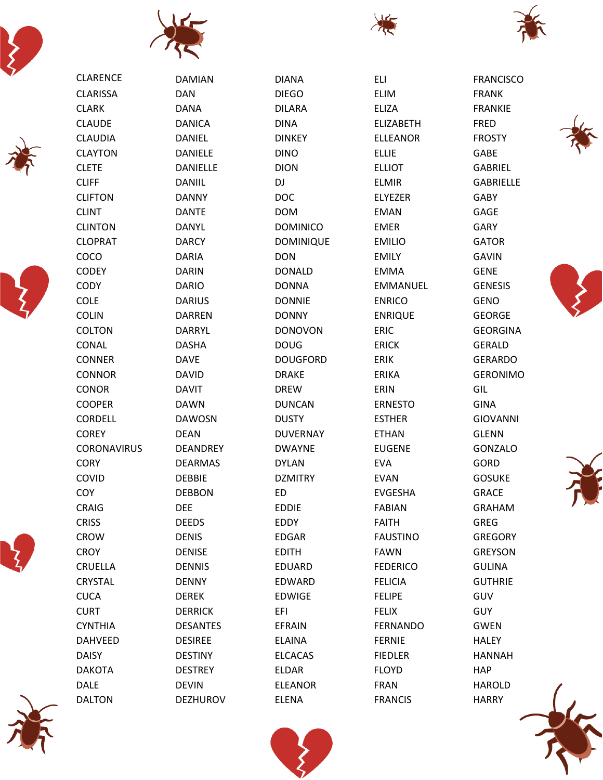

CLARENCE CLARISSA CLARK CLAUDE CLAUDIA CLAYTON CLETE CLIFF CLIFTON CLINT CLINTON CLOPRAT COCO CODEY **CODY** COLE COLIN COLTON CONAL CONNER **CONNOR** CONOR COOPER CORDELL **COREY** 

CORONAVIRUS

**CORY** COVID **COY** CRAIG **CRISS** CROW **CROY** CRUELLA **CRYSTAL CUCA CURT** CYNTHIA DAHVEED DAISY DAKOTA DALE DALTON















FRANCISCO

DAMIAN DAN DANA DANICA DANIEL DANIELE DANIELLE DANIIL DANNY DANTE DANYL DARCY DARIA DARIN DARIO DARIUS DARREN DARRYL DASHA DAVE DAVID DAVIT DAWN DAWOSN DEAN DEANDREY DEARMAS DEBBIE DEBBON DEE DEEDS DENIS DENISE DENNIS DENNY DEREK DERRICK DESANTES DESIREE DESTINY DESTREY DEVIN DEZHUROV

DIANA DIEGO DILARA DINA DINKEY DINO DION DJ DOC DOM DOMINICO DOMINIQUE DON DONALD DONNA DONNIE DONNY DONOVON DOUG DOUGFORD DRAKE DREW DUNCAN **DUSTY** DUVERNAY DWAYNE DYLAN DZMITRY ED EDDIE EDDY EDGAR EDITH EDUARD EDWARD EDWIGE EFI EFRAIN ELAINA ELCACAS ELDAR ELEANOR ELENA

ELI ELIM ELIZA ELIZABETH ELLEANOR ELLIE ELLIOT ELMIR ELYEZER EMAN EMER EMILIO EMILY EMMA EMMANUEL ENRICO ENRIQUE ERIC ERICK ERIK ERIKA ERIN ERNESTO ESTHER ETHAN EUGENE EVA EVAN EVGESHA FABIAN FAITH FAUSTINO FAWN FEDERICO FELICIA FELIPE **FELIX** FERNANDO FERNIE FIEDLER FLOYD FRAN FRANCIS

FRANK FRANKIE FRED FROSTY GABE GABRIEL GABRIELLE GABY GAGE GARY GATOR GAVIN GENE **GENESIS** GENO GEORGE GEORGINA GERALD GERARDO GERONIMO GIL GINA GIOVANNI GLENN GONZALO GORD GOSUKE GRACE GRAHAM GREG GREGORY GREYSON **GULINA** GUTHRIE GUV **GUY** GWEN **HALEY** HANNAH **HAP** 









HAROLD

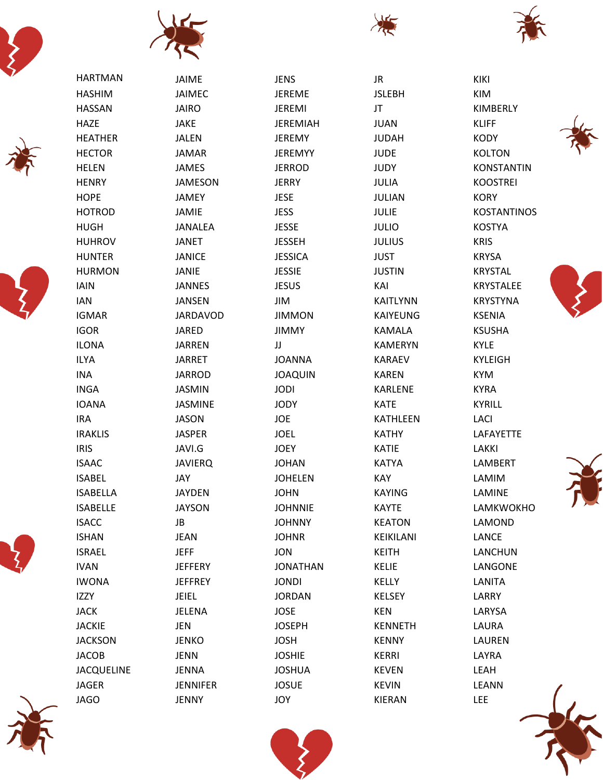























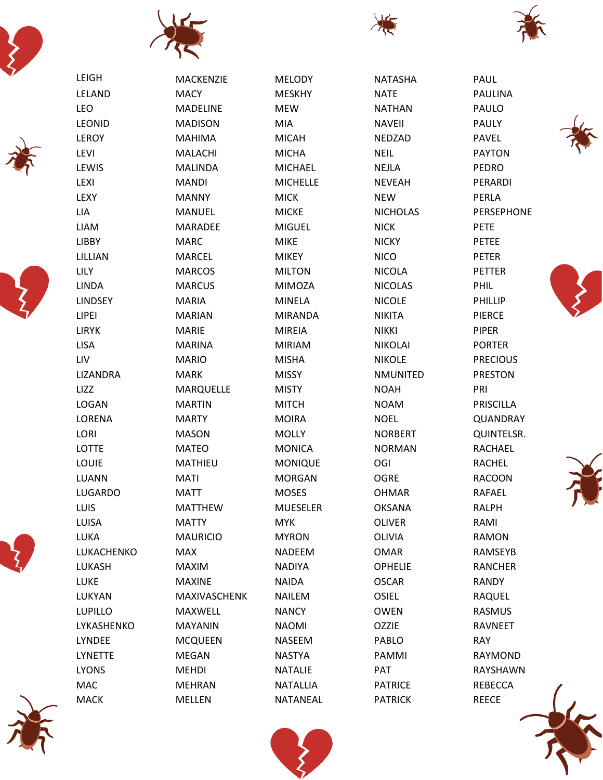









MACK

MELLEN







| LEIGH          | MACKENZIE       | <b>MELODY</b>   | <b>NATASHA</b>  | PAUL             |
|----------------|-----------------|-----------------|-----------------|------------------|
| LELAND         | <b>MACY</b>     | <b>MESKHY</b>   | <b>NATE</b>     | <b>PAULINA</b>   |
| <b>LEO</b>     | <b>MADELINE</b> | <b>MEW</b>      | <b>NATHAN</b>   | PAULO            |
| <b>LEONID</b>  | <b>MADISON</b>  | <b>MIA</b>      | <b>NAVEII</b>   | <b>PAULY</b>     |
| LEROY          | <b>MAHIMA</b>   | <b>MICAH</b>    | <b>NEDZAD</b>   | <b>PAVEL</b>     |
| <b>LEVI</b>    | MALACHI         | <b>MICHA</b>    | <b>NEIL</b>     | <b>PAYTON</b>    |
| LEWIS          | <b>MALINDA</b>  | <b>MICHAEL</b>  | <b>NEJLA</b>    | <b>PEDRO</b>     |
| <b>LEXI</b>    | <b>MANDI</b>    | <b>MICHELLE</b> | <b>NEVEAH</b>   | PERARDI          |
| LEXY           | <b>MANNY</b>    | <b>MICK</b>     | <b>NEW</b>      | PERLA            |
| LIA            | MANUEL          | <b>MICKE</b>    | <b>NICHOLAS</b> | PERSEPHONE       |
| <b>LIAM</b>    | <b>MARADEE</b>  | <b>MIGUEL</b>   | <b>NICK</b>     | <b>PETE</b>      |
| LIBBY          | <b>MARC</b>     | <b>MIKE</b>     | <b>NICKY</b>    | <b>PETEE</b>     |
| LILLIAN        | <b>MARCEL</b>   | <b>MIKEY</b>    | <b>NICO</b>     | <b>PETER</b>     |
| LILY           | <b>MARCOS</b>   | <b>MILTON</b>   | <b>NICOLA</b>   | <b>PETTER</b>    |
| <b>LINDA</b>   | <b>MARCUS</b>   | <b>MIMOZA</b>   | <b>NICOLAS</b>  | PHIL             |
| <b>LINDSEY</b> | <b>MARIA</b>    | <b>MINELA</b>   | <b>NICOLE</b>   | PHILLIP          |
| LIPEI          | <b>MARIAN</b>   | <b>MIRANDA</b>  | <b>NIKITA</b>   | <b>PIERCE</b>    |
| <b>LIRYK</b>   | <b>MARIE</b>    | <b>MIREIA</b>   | <b>NIKKI</b>    | <b>PIPER</b>     |
| <b>LISA</b>    | <b>MARINA</b>   | <b>MIRIAM</b>   | <b>NIKOLAI</b>  | <b>PORTER</b>    |
| LIV            | <b>MARIO</b>    | <b>MISHA</b>    | <b>NIKOLE</b>   | <b>PRECIOUS</b>  |
| LIZANDRA       | <b>MARK</b>     | <b>MISSY</b>    | <b>NMUNITED</b> | <b>PRESTON</b>   |
| LIZZ           | MARQUELLE       | <b>MISTY</b>    | <b>NOAH</b>     | PRI              |
| <b>LOGAN</b>   | <b>MARTIN</b>   | <b>MITCH</b>    | <b>NOAM</b>     | <b>PRISCILLA</b> |
| <b>LORENA</b>  | <b>MARTY</b>    | <b>MOIRA</b>    | <b>NOEL</b>     | QUANDRAY         |
| LORI           | <b>MASON</b>    | <b>MOLLY</b>    | <b>NORBERT</b>  | QUINTELSR.       |
| LOTTE          | <b>MATEO</b>    | <b>MONICA</b>   | <b>NORMAN</b>   | RACHAEL          |
| LOUIE          | <b>MATHIEU</b>  | <b>MONIQUE</b>  | OGI             | <b>RACHEL</b>    |
| LUANN          | <b>MATI</b>     | <b>MORGAN</b>   | <b>OGRE</b>     | <b>RACOON</b>    |
| <b>LUGARDO</b> | <b>MATT</b>     | <b>MOSES</b>    | <b>OHMAR</b>    | <b>RAFAEL</b>    |
| LUIS           | <b>MATTHEW</b>  | <b>MUESELER</b> | <b>OKSANA</b>   | <b>RALPH</b>     |
| LUISA          | <b>MATTY</b>    | <b>MYK</b>      | <b>OLIVER</b>   | RAMI             |
| LUKA           | <b>MAURICIO</b> | <b>MYRON</b>    | OLIVIA          | <b>RAMON</b>     |
| LUKACHENKO     | <b>MAX</b>      | <b>NADEEM</b>   | <b>OMAR</b>     | RAMSEYB          |
| LUKASH         | <b>MAXIM</b>    | <b>NADIYA</b>   | <b>OPHELIE</b>  | <b>RANCHER</b>   |
| LUKE           | <b>MAXINE</b>   | <b>NAIDA</b>    | <b>OSCAR</b>    | <b>RANDY</b>     |
| LUKYAN         | MAXIVASCHENK    | <b>NAILEM</b>   | <b>OSIEL</b>    | RAQUEL           |
| <b>LUPILLO</b> | MAXWELL         | <b>NANCY</b>    | <b>OWEN</b>     | <b>RASMUS</b>    |
| LYKASHENKO     | <b>MAYANIN</b>  | <b>NAOMI</b>    | <b>OZZIE</b>    | RAVNEET          |
| <b>LYNDEE</b>  | <b>MCQUEEN</b>  | <b>NASEEM</b>   | PABLO           | <b>RAY</b>       |
| <b>LYNETTE</b> | MEGAN           | <b>NASTYA</b>   | PAMMI           | RAYMOND          |
| <b>LYONS</b>   | <b>MEHDI</b>    | <b>NATALIE</b>  | PAT             | RAYSHAWN         |
| MAC            | <b>MEHRAN</b>   | <b>NATALLIA</b> | <b>PATRICE</b>  | REBECCA          |

NATANEAL

PATRICK







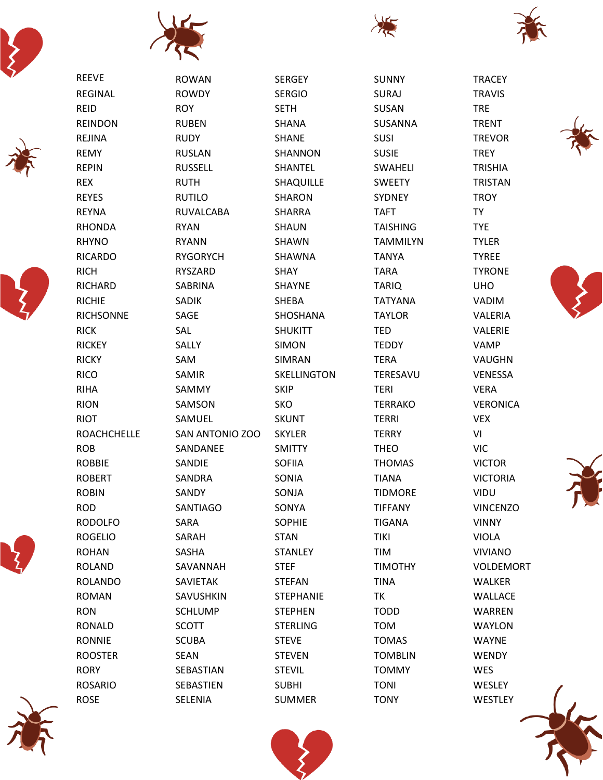









ROSARIO ROSE







|                    | ,<br>◥           |                  |                 |                 |
|--------------------|------------------|------------------|-----------------|-----------------|
| <b>REEVE</b>       | <b>ROWAN</b>     | <b>SERGEY</b>    | <b>SUNNY</b>    | <b>TRACEY</b>   |
| <b>REGINAL</b>     | <b>ROWDY</b>     | <b>SERGIO</b>    | <b>SURAJ</b>    | <b>TRAVIS</b>   |
| <b>REID</b>        | <b>ROY</b>       | <b>SETH</b>      | SUSAN           | <b>TRE</b>      |
| <b>REINDON</b>     | <b>RUBEN</b>     | SHANA            | SUSANNA         | <b>TRENT</b>    |
| <b>REJINA</b>      | <b>RUDY</b>      | <b>SHANE</b>     | <b>SUSI</b>     | <b>TREVOR</b>   |
| <b>REMY</b>        | <b>RUSLAN</b>    | SHANNON          | <b>SUSIE</b>    | <b>TREY</b>     |
| <b>REPIN</b>       | <b>RUSSELL</b>   | SHANTEL          | SWAHELI         | <b>TRISHIA</b>  |
| <b>REX</b>         | <b>RUTH</b>      | SHAQUILLE        | <b>SWEETY</b>   | <b>TRISTAN</b>  |
| <b>REYES</b>       | <b>RUTILO</b>    | <b>SHARON</b>    | <b>SYDNEY</b>   | <b>TROY</b>     |
| <b>REYNA</b>       | <b>RUVALCABA</b> | <b>SHARRA</b>    | <b>TAFT</b>     | <b>TY</b>       |
| <b>RHONDA</b>      | <b>RYAN</b>      | SHAUN            | <b>TAISHING</b> | <b>TYE</b>      |
| <b>RHYNO</b>       | <b>RYANN</b>     | SHAWN            | <b>TAMMILYN</b> | <b>TYLER</b>    |
| <b>RICARDO</b>     | <b>RYGORYCH</b>  | SHAWNA           | <b>TANYA</b>    | <b>TYREE</b>    |
| <b>RICH</b>        | <b>RYSZARD</b>   | <b>SHAY</b>      | <b>TARA</b>     | <b>TYRONE</b>   |
| <b>RICHARD</b>     | SABRINA          | <b>SHAYNE</b>    | <b>TARIQ</b>    | <b>UHO</b>      |
| <b>RICHIE</b>      | <b>SADIK</b>     | SHEBA            | <b>TATYANA</b>  | <b>VADIM</b>    |
| <b>RICHSONNE</b>   | SAGE             | SHOSHANA         | <b>TAYLOR</b>   | VALERIA         |
| <b>RICK</b>        | SAL              | <b>SHUKITT</b>   | <b>TED</b>      | VALERIE         |
| <b>RICKEY</b>      | SALLY            | <b>SIMON</b>     | <b>TEDDY</b>    | <b>VAMP</b>     |
| <b>RICKY</b>       | SAM              | SIMRAN           | <b>TERA</b>     | VAUGHN          |
| <b>RICO</b>        | SAMIR            | SKELLINGTON      | TERESAVU        | VENESSA         |
| <b>RIHA</b>        | SAMMY            | <b>SKIP</b>      | <b>TERI</b>     | <b>VERA</b>     |
| <b>RION</b>        | SAMSON           | <b>SKO</b>       | <b>TERRAKO</b>  | <b>VERONICA</b> |
| <b>RIOT</b>        | SAMUEL           | <b>SKUNT</b>     | <b>TERRI</b>    | <b>VEX</b>      |
| <b>ROACHCHELLE</b> | SAN ANTONIO ZOO  | <b>SKYLER</b>    | <b>TERRY</b>    | VI              |
| <b>ROB</b>         | SANDANEE         | <b>SMITTY</b>    | <b>THEO</b>     | <b>VIC</b>      |
| <b>ROBBIE</b>      | SANDIE           | <b>SOFIIA</b>    | <b>THOMAS</b>   | <b>VICTOR</b>   |
| <b>ROBERT</b>      | SANDRA           | SONIA            | <b>TIANA</b>    | <b>VICTORIA</b> |
| <b>ROBIN</b>       | SANDY            | SONJA            | <b>TIDMORE</b>  | VIDU            |
| <b>ROD</b>         | SANTIAGO         | SONYA            | <b>TIFFANY</b>  | <b>VINCENZO</b> |
| <b>RODOLFO</b>     | SARA             | <b>SOPHIE</b>    | <b>TIGANA</b>   | <b>VINNY</b>    |
| <b>ROGELIO</b>     | SARAH            | <b>STAN</b>      | <b>TIKI</b>     | <b>VIOLA</b>    |
| <b>ROHAN</b>       | SASHA            | <b>STANLEY</b>   | <b>TIM</b>      | <b>VIVIANO</b>  |
| <b>ROLAND</b>      | SAVANNAH         | <b>STEF</b>      | <b>TIMOTHY</b>  | VOLDEMORT       |
| <b>ROLANDO</b>     | SAVIETAK         | <b>STEFAN</b>    | <b>TINA</b>     | WALKER          |
| <b>ROMAN</b>       | SAVUSHKIN        | <b>STEPHANIE</b> | TK              | <b>WALLACE</b>  |
| <b>RON</b>         | <b>SCHLUMP</b>   | <b>STEPHEN</b>   | <b>TODD</b>     | WARREN          |
| RONALD             | <b>SCOTT</b>     | <b>STERLING</b>  | <b>TOM</b>      | <b>WAYLON</b>   |
| <b>RONNIE</b>      | <b>SCUBA</b>     | <b>STEVE</b>     | <b>TOMAS</b>    | <b>WAYNE</b>    |
| <b>ROOSTER</b>     | <b>SEAN</b>      | <b>STEVEN</b>    | <b>TOMBLIN</b>  | WENDY           |
| <b>RORY</b>        | SEBASTIAN        | <b>STEVIL</b>    | <b>TOMMY</b>    | WES             |









SUBHI

TONI **TONY** 

SEBASTIEN



WESLEY